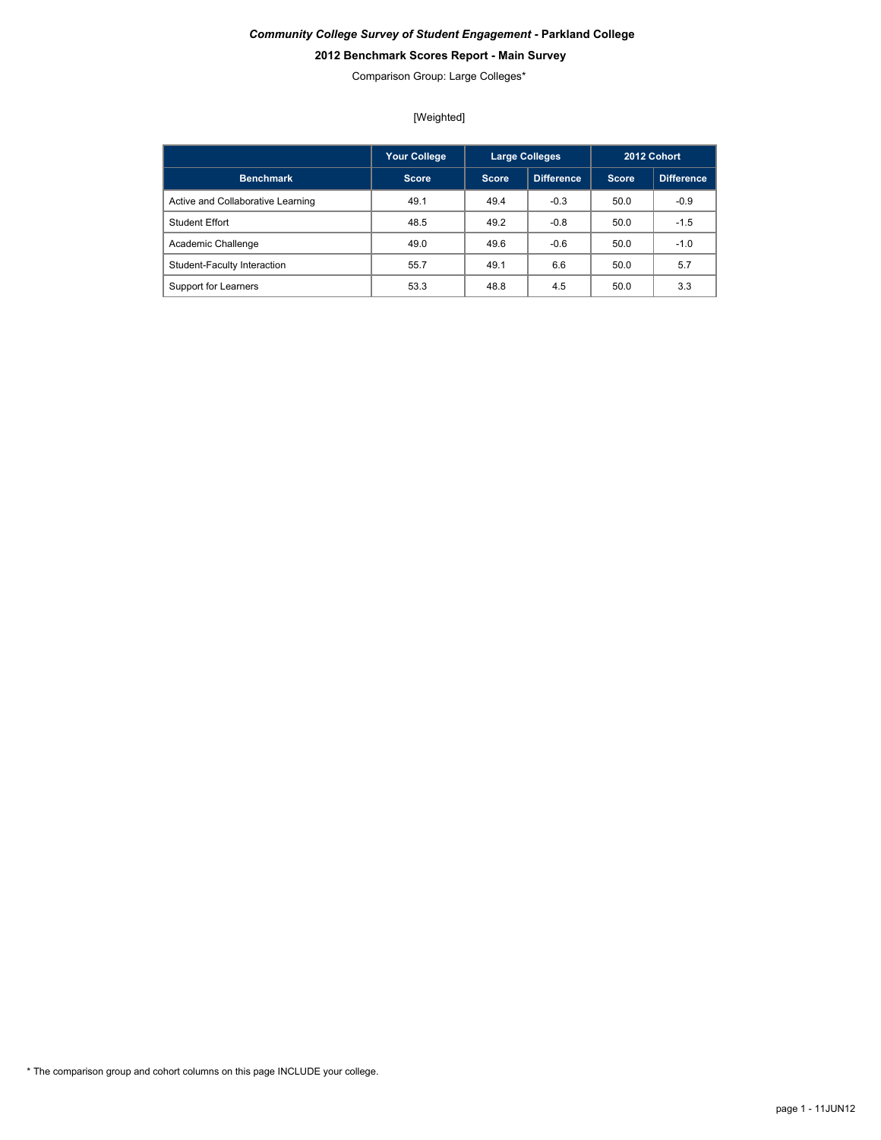# **2012 Benchmark Scores Report - Main Survey**

Comparison Group: Large Colleges\*

[Weighted]

|                                   | <b>Your College</b> |       | <b>Large Colleges</b> |       | 2012 Cohort       |
|-----------------------------------|---------------------|-------|-----------------------|-------|-------------------|
| <b>Benchmark</b>                  | Score.              | Score | <b>Difference</b>     | Score | <b>Difference</b> |
| Active and Collaborative Learning | 49.1                | 49.4  | $-0.3$                | 50.0  | $-0.9$            |
| <b>Student Effort</b>             | 48.5                | 49.2  | $-0.8$                | 50.0  | $-1.5$            |
| Academic Challenge                | 49.0                | 49.6  | $-0.6$                | 50.0  | $-1.0$            |
| Student-Faculty Interaction       | 55.7                | 49.1  | 6.6                   | 50.0  | 5.7               |
| Support for Learners              | 53.3                | 48.8  | 4.5                   | 50.0  | 3.3               |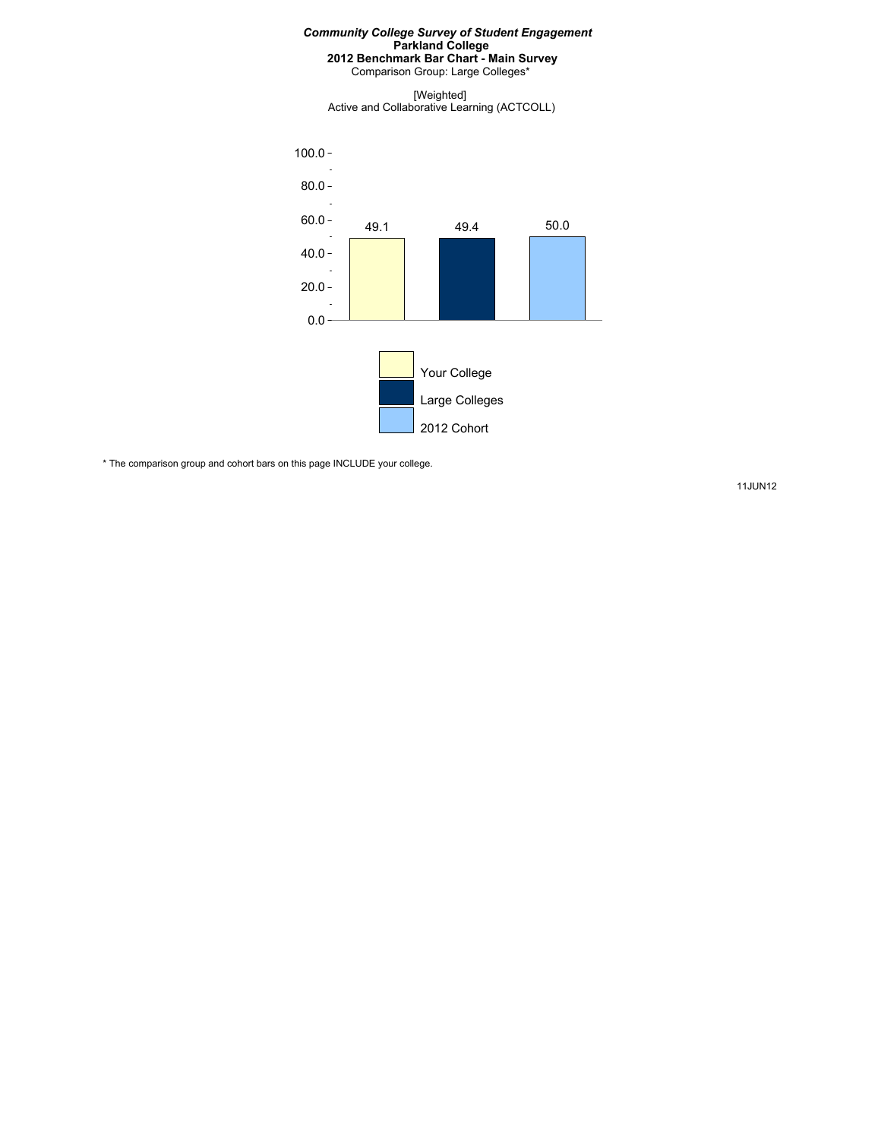Comparison Group: Large Colleges\*

[Weighted] Active and Collaborative Learning (ACTCOLL)



\* The comparison group and cohort bars on this page INCLUDE your college.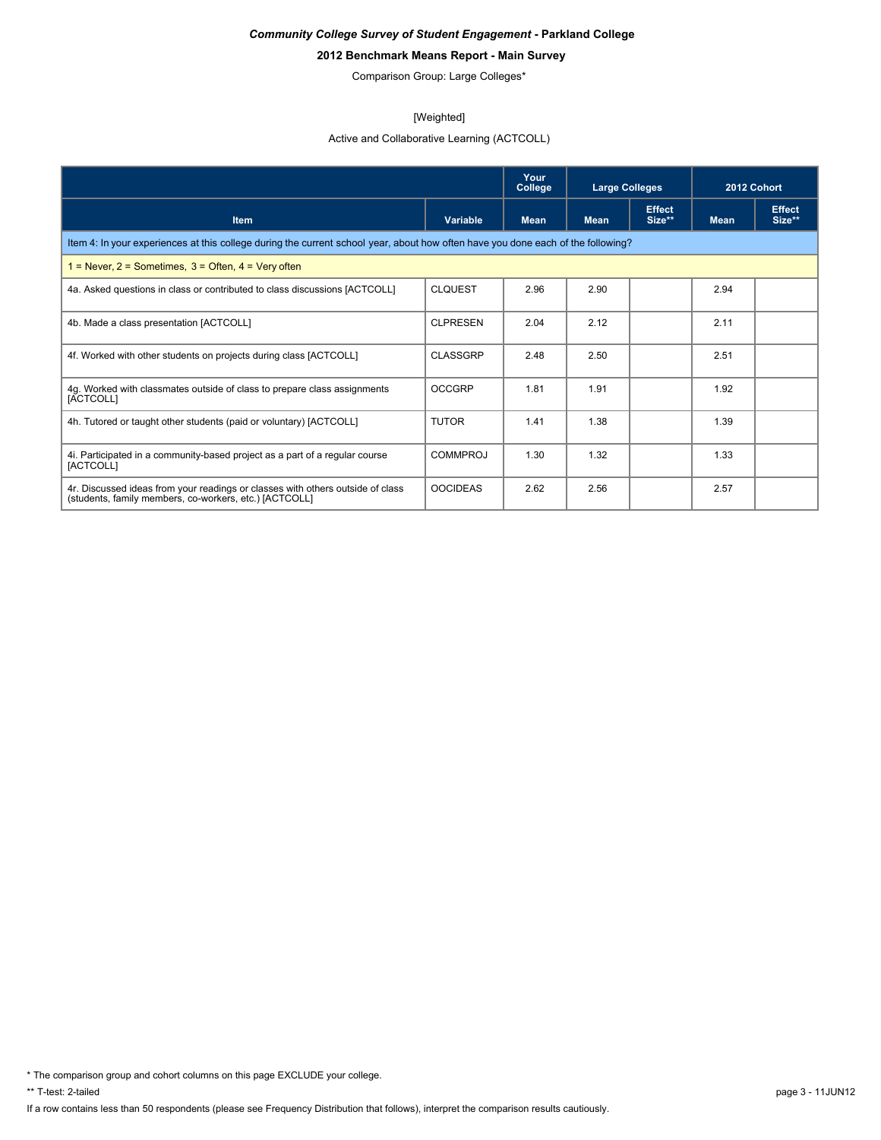# **2012 Benchmark Means Report - Main Survey**

Comparison Group: Large Colleges\*

#### [Weighted]

Active and Collaborative Learning (ACTCOLL)

|                                                                                                                                          |                 | Your<br>College | <b>Large Colleges</b> |                         | 2012 Cohort |                         |  |  |  |  |
|------------------------------------------------------------------------------------------------------------------------------------------|-----------------|-----------------|-----------------------|-------------------------|-------------|-------------------------|--|--|--|--|
| <b>Item</b>                                                                                                                              | <b>Variable</b> | <b>Mean</b>     | <b>Mean</b>           | <b>Effect</b><br>Size** | <b>Mean</b> | <b>Effect</b><br>Size** |  |  |  |  |
| Item 4: In your experiences at this college during the current school year, about how often have you done each of the following?         |                 |                 |                       |                         |             |                         |  |  |  |  |
| $1 =$ Never, 2 = Sometimes, 3 = Often, 4 = Very often                                                                                    |                 |                 |                       |                         |             |                         |  |  |  |  |
| 4a. Asked questions in class or contributed to class discussions [ACTCOLL]                                                               | <b>CLOUEST</b>  | 2.96            | 2.90                  |                         | 2.94        |                         |  |  |  |  |
| 4b. Made a class presentation [ACTCOLL]                                                                                                  | <b>CLPRESEN</b> | 2.04            | 2.12                  |                         | 2.11        |                         |  |  |  |  |
| 4f. Worked with other students on projects during class [ACTCOLL]                                                                        | <b>CLASSGRP</b> | 2.48            | 2.50                  |                         | 2.51        |                         |  |  |  |  |
| 4g. Worked with classmates outside of class to prepare class assignments<br>[ACTCOLL]                                                    | <b>OCCGRP</b>   | 1.81            | 1.91                  |                         | 1.92        |                         |  |  |  |  |
| 4h. Tutored or taught other students (paid or voluntary) [ACTCOLL]                                                                       | <b>TUTOR</b>    | 1.41            | 1.38                  |                         | 1.39        |                         |  |  |  |  |
| 4. Participated in a community-based project as a part of a regular course<br>[ACTCOLL]                                                  | COMMPROJ        | 1.30            | 1.32                  |                         | 1.33        |                         |  |  |  |  |
| 4r. Discussed ideas from your readings or classes with others outside of class<br>(students, family members, co-workers, etc.) [ACTCOLL] | <b>OOCIDEAS</b> | 2.62            | 2.56                  |                         | 2.57        |                         |  |  |  |  |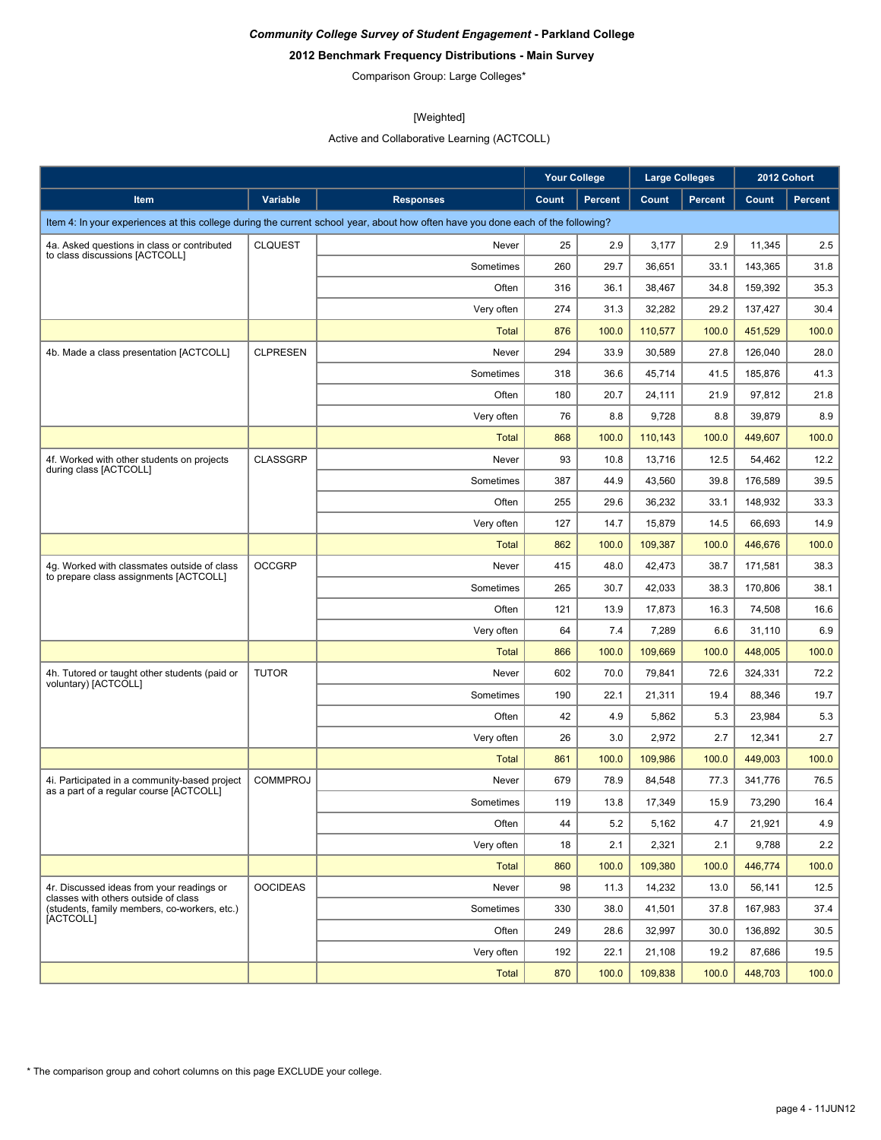# **2012 Benchmark Frequency Distributions - Main Survey**

Comparison Group: Large Colleges\*

# [Weighted]

Active and Collaborative Learning (ACTCOLL)

|                                                                                          |                 |                                                                                                                                  | <b>Your College</b> |                | <b>Large Colleges</b> |                | 2012 Cohort |                |
|------------------------------------------------------------------------------------------|-----------------|----------------------------------------------------------------------------------------------------------------------------------|---------------------|----------------|-----------------------|----------------|-------------|----------------|
| Item                                                                                     | Variable        | <b>Responses</b>                                                                                                                 | Count               | <b>Percent</b> | Count                 | <b>Percent</b> | Count       | <b>Percent</b> |
|                                                                                          |                 | Item 4: In your experiences at this college during the current school year, about how often have you done each of the following? |                     |                |                       |                |             |                |
| 4a. Asked questions in class or contributed                                              | <b>CLQUEST</b>  | Never                                                                                                                            | 25                  | 2.9            | 3,177                 | 2.9            | 11,345      | 2.5            |
| to class discussions [ACTCOLL]                                                           |                 | Sometimes                                                                                                                        | 260                 | 29.7           | 36,651                | 33.1           | 143,365     | 31.8           |
|                                                                                          |                 | Often                                                                                                                            | 316                 | 36.1           | 38,467                | 34.8           | 159,392     | 35.3           |
|                                                                                          |                 | Very often                                                                                                                       | 274                 | 31.3           | 32,282                | 29.2           | 137,427     | 30.4           |
|                                                                                          |                 | <b>Total</b>                                                                                                                     | 876                 | 100.0          | 110,577               | 100.0          | 451,529     | 100.0          |
| 4b. Made a class presentation [ACTCOLL]                                                  | <b>CLPRESEN</b> | Never                                                                                                                            | 294                 | 33.9           | 30,589                | 27.8           | 126,040     | 28.0           |
|                                                                                          |                 | Sometimes                                                                                                                        | 318                 | 36.6           | 45,714                | 41.5           | 185,876     | 41.3           |
|                                                                                          |                 | Often                                                                                                                            | 180                 | 20.7           | 24,111                | 21.9           | 97,812      | 21.8           |
|                                                                                          |                 | Very often                                                                                                                       | 76                  | 8.8            | 9,728                 | 8.8            | 39,879      | 8.9            |
|                                                                                          |                 | <b>Total</b>                                                                                                                     | 868                 | 100.0          | 110,143               | 100.0          | 449,607     | 100.0          |
| 4f. Worked with other students on projects<br>during class [ACTCOLL]                     | <b>CLASSGRP</b> | Never                                                                                                                            | 93                  | 10.8           | 13.716                | 12.5           | 54,462      | 12.2           |
|                                                                                          |                 | Sometimes                                                                                                                        | 387                 | 44.9           | 43,560                | 39.8           | 176,589     | 39.5           |
|                                                                                          |                 | Often                                                                                                                            | 255                 | 29.6           | 36,232                | 33.1           | 148,932     | 33.3           |
|                                                                                          |                 | Very often                                                                                                                       | 127                 | 14.7           | 15,879                | 14.5           | 66,693      | 14.9           |
|                                                                                          |                 | Total                                                                                                                            | 862                 | 100.0          | 109,387               | 100.0          | 446,676     | 100.0          |
| 4g. Worked with classmates outside of class<br>to prepare class assignments [ACTCOLL]    | <b>OCCGRP</b>   | Never                                                                                                                            | 415                 | 48.0           | 42,473                | 38.7           | 171,581     | 38.3           |
|                                                                                          |                 | Sometimes                                                                                                                        | 265                 | 30.7           | 42,033                | 38.3           | 170,806     | 38.1           |
|                                                                                          |                 | Often                                                                                                                            | 121                 | 13.9           | 17,873                | 16.3           | 74,508      | 16.6           |
|                                                                                          |                 | Very often                                                                                                                       | 64                  | 7.4            | 7,289                 | 6.6            | 31,110      | 6.9            |
|                                                                                          |                 | <b>Total</b>                                                                                                                     | 866                 | 100.0          | 109,669               | 100.0          | 448,005     | 100.0          |
| 4h. Tutored or taught other students (paid or<br>voluntary) [ACTCOLL]                    | <b>TUTOR</b>    | Never                                                                                                                            | 602                 | 70.0           | 79,841                | 72.6           | 324,331     | 72.2           |
|                                                                                          |                 | Sometimes                                                                                                                        | 190                 | 22.1           | 21,311                | 19.4           | 88,346      | 19.7           |
|                                                                                          |                 | Often                                                                                                                            | 42                  | 4.9            | 5,862                 | 5.3            | 23,984      | 5.3            |
|                                                                                          |                 | Very often                                                                                                                       | 26                  | 3.0            | 2,972                 | 2.7            | 12,341      | 2.7            |
|                                                                                          |                 | <b>Total</b>                                                                                                                     | 861                 | 100.0          | 109,986               | 100.0          | 449,003     | 100.0          |
| 4i. Participated in a community-based project<br>as a part of a regular course [ACTCOLL] | <b>COMMPROJ</b> | Never                                                                                                                            | 679                 | 78.9           | 84,548                | 77.3           | 341,776     | 76.5           |
|                                                                                          |                 | Sometimes                                                                                                                        | 119                 | 13.8           | 17,349                | 15.9           | 73,290      | 16.4           |
|                                                                                          |                 | Often                                                                                                                            | 44                  | 5.2            | 5,162                 | 4.7            | 21,921      | 4.9            |
|                                                                                          |                 | Very often                                                                                                                       | 18                  | 2.1            | 2,321                 | 2.1            | 9,788       | 2.2            |
|                                                                                          |                 | Total                                                                                                                            | 860                 | 100.0          | 109,380               | 100.0          | 446,774     | 100.0          |
| 4r. Discussed ideas from your readings or<br>classes with others outside of class        | <b>OOCIDEAS</b> | Never                                                                                                                            | 98                  | 11.3           | 14,232                | 13.0           | 56,141      | 12.5           |
| (students, family members, co-workers, etc.)<br>[ACTCOLL]                                |                 | Sometimes                                                                                                                        | 330                 | 38.0           | 41,501                | 37.8           | 167,983     | 37.4           |
|                                                                                          |                 | Often                                                                                                                            | 249                 | 28.6           | 32,997                | 30.0           | 136,892     | 30.5           |
|                                                                                          |                 | Very often                                                                                                                       | 192                 | 22.1           | 21,108                | 19.2           | 87,686      | 19.5           |
|                                                                                          |                 | <b>Total</b>                                                                                                                     | 870                 | 100.0          | 109,838               | 100.0          | 448,703     | 100.0          |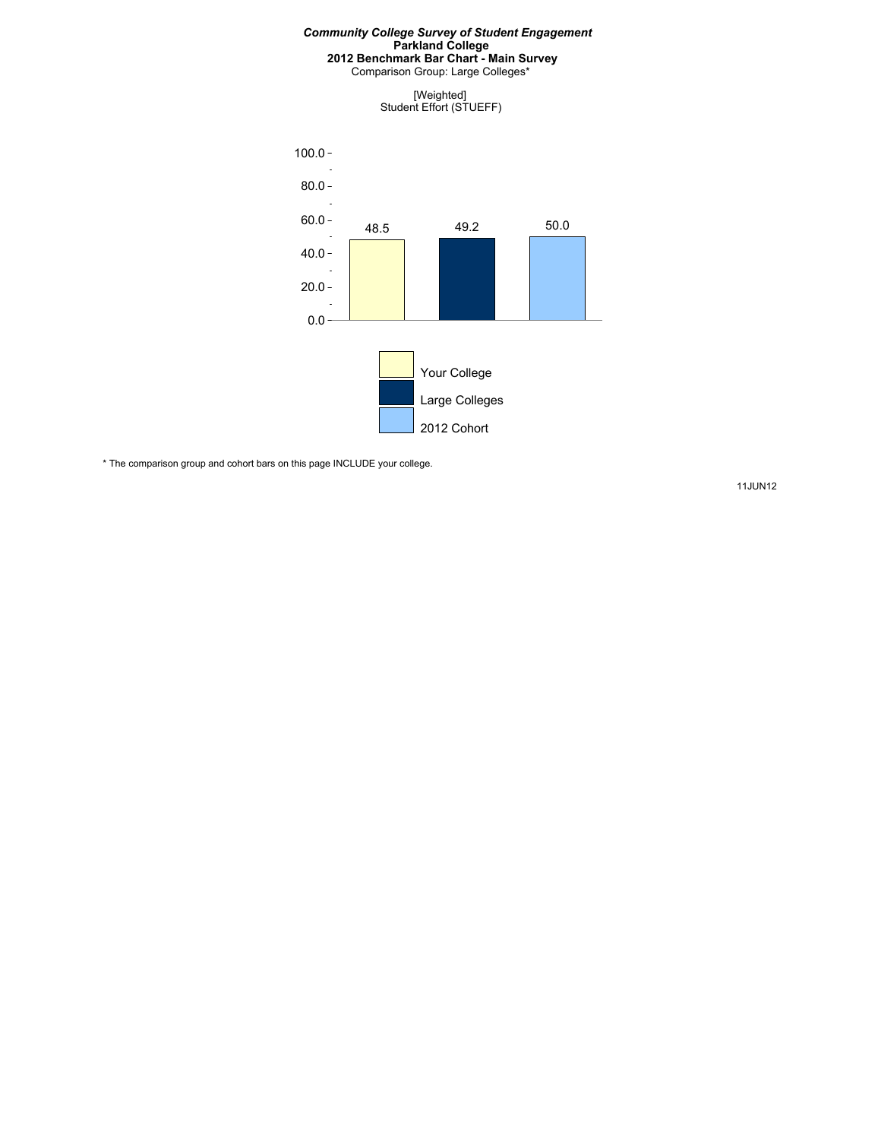Comparison Group: Large Colleges\*

[Weighted] Student Effort (STUEFF)



\* The comparison group and cohort bars on this page INCLUDE your college.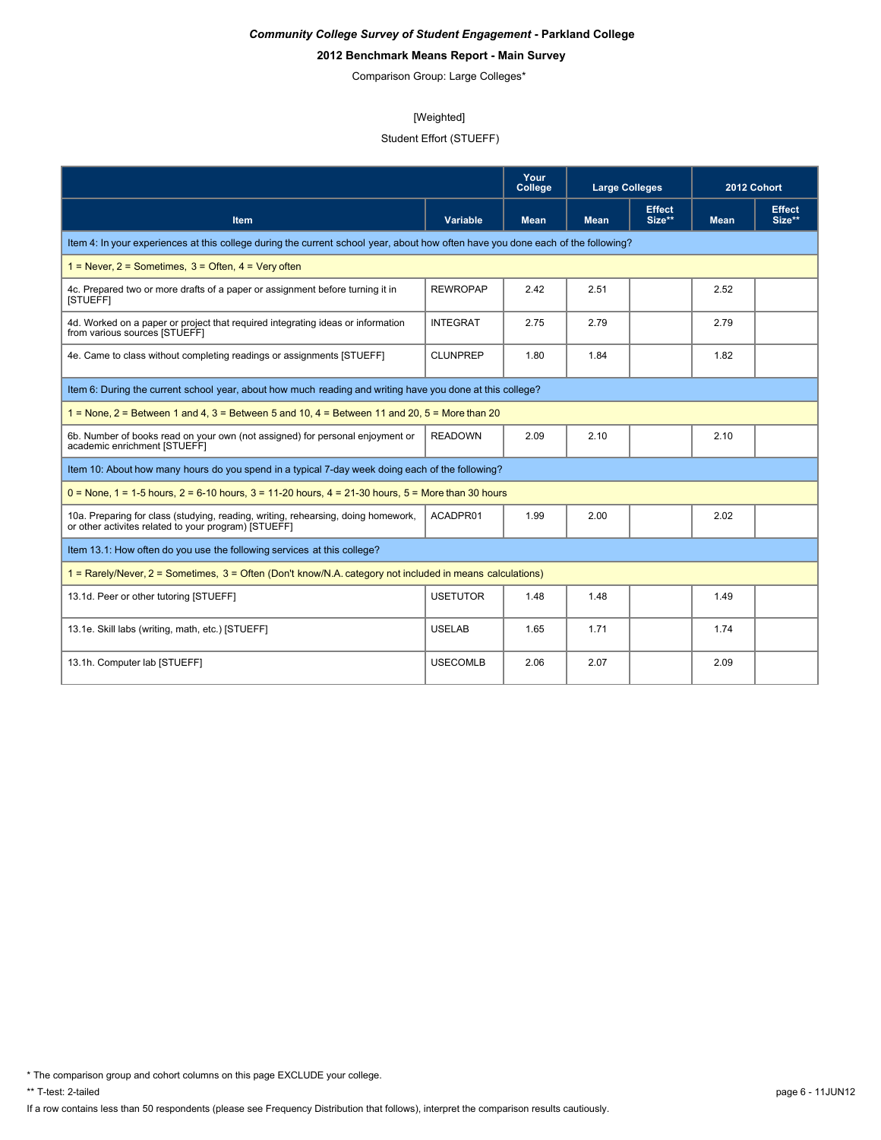# **2012 Benchmark Means Report - Main Survey**

Comparison Group: Large Colleges\*

#### [Weighted]

# Student Effort (STUEFF)

|                                                                                                                                           |                 | Your<br>College | <b>Large Colleges</b> |                         | 2012 Cohort |                         |  |  |
|-------------------------------------------------------------------------------------------------------------------------------------------|-----------------|-----------------|-----------------------|-------------------------|-------------|-------------------------|--|--|
| <b>Item</b>                                                                                                                               | <b>Variable</b> | <b>Mean</b>     | <b>Mean</b>           | <b>Effect</b><br>Size** | <b>Mean</b> | <b>Effect</b><br>Size** |  |  |
| Item 4: In your experiences at this college during the current school year, about how often have you done each of the following?          |                 |                 |                       |                         |             |                         |  |  |
| $1 =$ Never, $2 =$ Sometimes, $3 =$ Often, $4 =$ Very often                                                                               |                 |                 |                       |                         |             |                         |  |  |
| 4c. Prepared two or more drafts of a paper or assignment before turning it in<br>[STUEFF]                                                 | <b>REWROPAP</b> | 2.42            | 2.51                  |                         | 2.52        |                         |  |  |
| 4d. Worked on a paper or project that required integrating ideas or information<br>from various sources [STUEFF]                          | <b>INTEGRAT</b> | 2.75            | 2.79                  |                         | 2.79        |                         |  |  |
| 4e. Came to class without completing readings or assignments [STUEFF]                                                                     | <b>CLUNPREP</b> | 1.80            | 1.84                  |                         | 1.82        |                         |  |  |
| Item 6: During the current school year, about how much reading and writing have you done at this college?                                 |                 |                 |                       |                         |             |                         |  |  |
| $1 =$ None, $2 =$ Between 1 and 4, $3 =$ Between 5 and 10, $4 =$ Between 11 and 20, $5 =$ More than 20                                    |                 |                 |                       |                         |             |                         |  |  |
| 6b. Number of books read on your own (not assigned) for personal enjoyment or<br>academic enrichment [STUEFF]                             | <b>READOWN</b>  | 2.09            | 2.10                  |                         | 2.10        |                         |  |  |
| Item 10: About how many hours do you spend in a typical 7-day week doing each of the following?                                           |                 |                 |                       |                         |             |                         |  |  |
| $0 =$ None, 1 = 1-5 hours, 2 = 6-10 hours, 3 = 11-20 hours, 4 = 21-30 hours, 5 = More than 30 hours                                       |                 |                 |                       |                         |             |                         |  |  |
| 10a. Preparing for class (studying, reading, writing, rehearsing, doing homework,<br>or other activites related to your program) [STUEFF] | ACADPR01        | 1.99            | 2.00                  |                         | 2.02        |                         |  |  |
| Item 13.1: How often do you use the following services at this college?                                                                   |                 |                 |                       |                         |             |                         |  |  |
| 1 = Rarely/Never, 2 = Sometimes, 3 = Often (Don't know/N.A. category not included in means calculations)                                  |                 |                 |                       |                         |             |                         |  |  |
| 13.1d. Peer or other tutoring [STUEFF]                                                                                                    | <b>USETUTOR</b> | 1.48            | 1.48                  |                         | 1.49        |                         |  |  |
| 13.1e. Skill labs (writing, math, etc.) [STUEFF]                                                                                          | <b>USELAB</b>   | 1.65            | 1.71                  |                         | 1.74        |                         |  |  |
| 13.1h. Computer lab [STUEFF]                                                                                                              | <b>USECOMLB</b> | 2.06            | 2.07                  |                         | 2.09        |                         |  |  |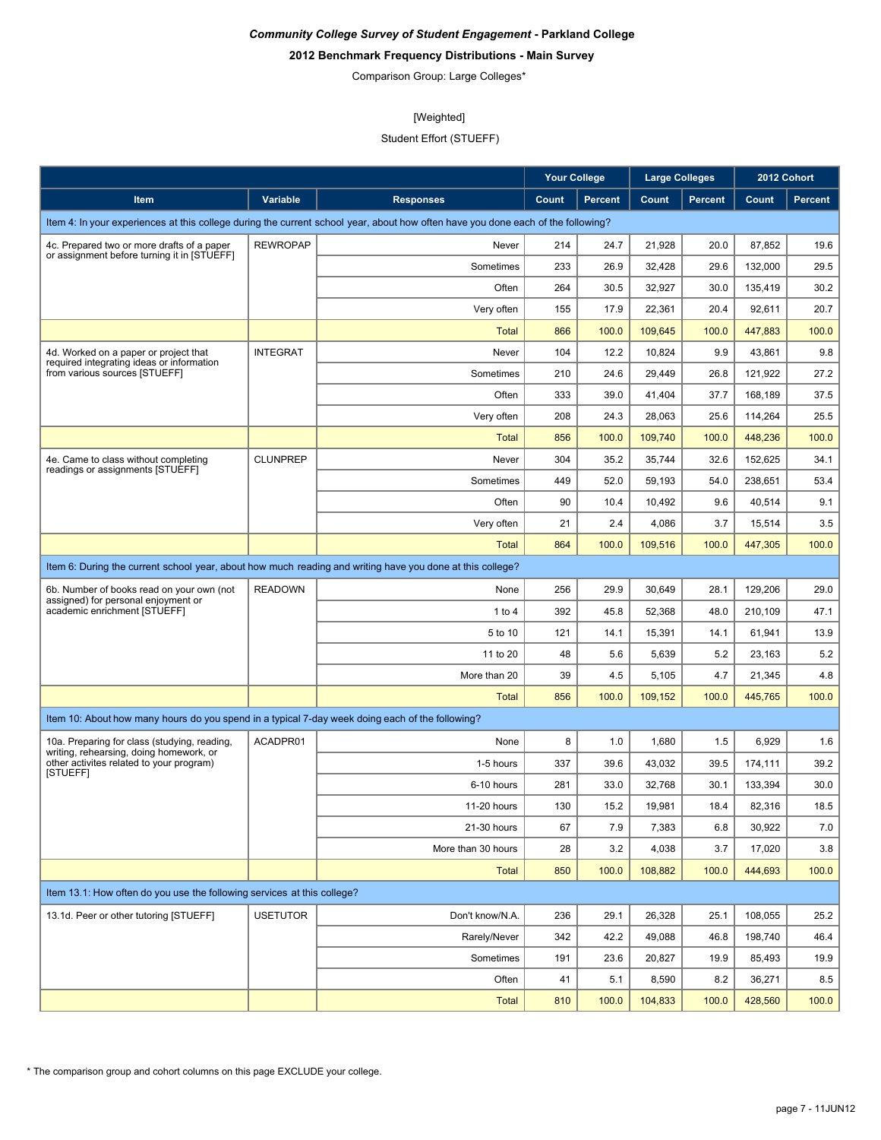# **2012 Benchmark Frequency Distributions - Main Survey**

Comparison Group: Large Colleges\*

# [Weighted]

# Student Effort (STUEFF)

|                                                                                                        |                 |                                                                                                                                  | <b>Your College</b> |                | <b>Large Colleges</b> |                |         | 2012 Cohort    |
|--------------------------------------------------------------------------------------------------------|-----------------|----------------------------------------------------------------------------------------------------------------------------------|---------------------|----------------|-----------------------|----------------|---------|----------------|
| Item                                                                                                   | Variable        | <b>Responses</b>                                                                                                                 | Count               | <b>Percent</b> | Count                 | <b>Percent</b> | Count   | <b>Percent</b> |
|                                                                                                        |                 | Item 4: In your experiences at this college during the current school year, about how often have you done each of the following? |                     |                |                       |                |         |                |
| 4c. Prepared two or more drafts of a paper                                                             | <b>REWROPAP</b> | Never                                                                                                                            | 214                 | 24.7           | 21,928                | 20.0           | 87,852  | 19.6           |
| or assignment before turning it in [STUEFF]                                                            |                 | Sometimes                                                                                                                        | 233                 | 26.9           | 32,428                | 29.6           | 132,000 | 29.5           |
|                                                                                                        |                 | Often                                                                                                                            | 264                 | 30.5           | 32,927                | 30.0           | 135,419 | 30.2           |
|                                                                                                        |                 | Very often                                                                                                                       | 155                 | 17.9           | 22,361                | 20.4           | 92,611  | 20.7           |
|                                                                                                        |                 | <b>Total</b>                                                                                                                     | 866                 | 100.0          | 109,645               | 100.0          | 447,883 | 100.0          |
| 4d. Worked on a paper or project that<br>required integrating ideas or information                     | <b>INTEGRAT</b> | Never                                                                                                                            | 104                 | 12.2           | 10.824                | 9.9            | 43,861  | 9.8            |
| from various sources [STUEFF]                                                                          |                 | Sometimes                                                                                                                        | 210                 | 24.6           | 29,449                | 26.8           | 121,922 | 27.2           |
|                                                                                                        |                 | Often                                                                                                                            | 333                 | 39.0           | 41,404                | 37.7           | 168,189 | 37.5           |
|                                                                                                        |                 | Very often                                                                                                                       | 208                 | 24.3           | 28,063                | 25.6           | 114,264 | 25.5           |
|                                                                                                        |                 | <b>Total</b>                                                                                                                     | 856                 | 100.0          | 109,740               | 100.0          | 448,236 | 100.0          |
| 4e. Came to class without completing<br>readings or assignments [STUEFF]                               | <b>CLUNPREP</b> | Never                                                                                                                            | 304                 | 35.2           | 35,744                | 32.6           | 152,625 | 34.1           |
|                                                                                                        |                 | Sometimes                                                                                                                        | 449                 | 52.0           | 59,193                | 54.0           | 238,651 | 53.4           |
|                                                                                                        |                 | Often                                                                                                                            | 90                  | 10.4           | 10,492                | 9.6            | 40,514  | 9.1            |
|                                                                                                        |                 | Very often                                                                                                                       | 21                  | 2.4            | 4,086                 | 3.7            | 15,514  | 3.5            |
|                                                                                                        |                 | <b>Total</b>                                                                                                                     | 864                 | 100.0          | 109,516               | 100.0          | 447,305 | 100.0          |
|                                                                                                        |                 | Item 6: During the current school year, about how much reading and writing have you done at this college?                        |                     |                |                       |                |         |                |
| 6b. Number of books read on your own (not                                                              | <b>READOWN</b>  | None                                                                                                                             | 256                 | 29.9           | 30,649                | 28.1           | 129,206 | 29.0           |
| assigned) for personal enjoyment or<br>academic enrichment [STUEFF]                                    |                 | 1 to $4$                                                                                                                         | 392                 | 45.8           | 52,368                | 48.0           | 210,109 | 47.1           |
|                                                                                                        |                 | 5 to 10                                                                                                                          | 121                 | 14.1           | 15,391                | 14.1           | 61,941  | 13.9           |
|                                                                                                        |                 | 11 to 20                                                                                                                         | 48                  | 5.6            | 5,639                 | 5.2            | 23,163  | 5.2            |
|                                                                                                        |                 | More than 20                                                                                                                     | 39                  | 4.5            | 5,105                 | 4.7            | 21,345  | 4.8            |
|                                                                                                        |                 | <b>Total</b>                                                                                                                     | 856                 | 100.0          | 109,152               | 100.0          | 445,765 | 100.0          |
| Item 10: About how many hours do you spend in a typical 7-day week doing each of the following?        |                 |                                                                                                                                  |                     |                |                       |                |         |                |
| 10a. Preparing for class (studying, reading,                                                           | ACADPR01        | None                                                                                                                             | 8                   | 1.0            | 1,680                 | 1.5            | 6,929   | 1.6            |
| writing, rehearsing, doing homework, or<br>other activites related to your program)<br><b>ISTUEFFI</b> |                 | 1-5 hours                                                                                                                        | 337                 | 39.6           | 43,032                | 39.5           | 174,111 | 39.2           |
|                                                                                                        |                 | 6-10 hours                                                                                                                       | 281                 | 33.0           | 32.768                | 30.1           | 133,394 | 30.0           |
|                                                                                                        |                 | 11-20 hours                                                                                                                      | 130                 | 15.2           | 19,981                | 18.4           | 82,316  | 18.5           |
|                                                                                                        |                 | 21-30 hours                                                                                                                      | 67                  | 7.9            | 7,383                 | 6.8            | 30,922  | 7.0            |
|                                                                                                        |                 | More than 30 hours                                                                                                               | 28                  | 3.2            | 4,038                 | 3.7            | 17,020  | 3.8            |
|                                                                                                        |                 | <b>Total</b>                                                                                                                     | 850                 | 100.0          | 108,882               | 100.0          | 444,693 | 100.0          |
| Item 13.1: How often do you use the following services at this college?                                |                 |                                                                                                                                  |                     |                |                       |                |         |                |
| 13.1d. Peer or other tutoring [STUEFF]                                                                 | <b>USETUTOR</b> | Don't know/N.A.                                                                                                                  | 236                 | 29.1           | 26,328                | 25.1           | 108,055 | 25.2           |
|                                                                                                        |                 | Rarely/Never                                                                                                                     | 342                 | 42.2           | 49,088                | 46.8           | 198,740 | 46.4           |
|                                                                                                        |                 | Sometimes                                                                                                                        | 191                 | 23.6           | 20,827                | 19.9           | 85,493  | 19.9           |
|                                                                                                        |                 | Often                                                                                                                            | 41                  | 5.1            | 8,590                 | 8.2            | 36,271  | 8.5            |
|                                                                                                        |                 | <b>Total</b>                                                                                                                     | 810                 | 100.0          | 104,833               | 100.0          | 428,560 | 100.0          |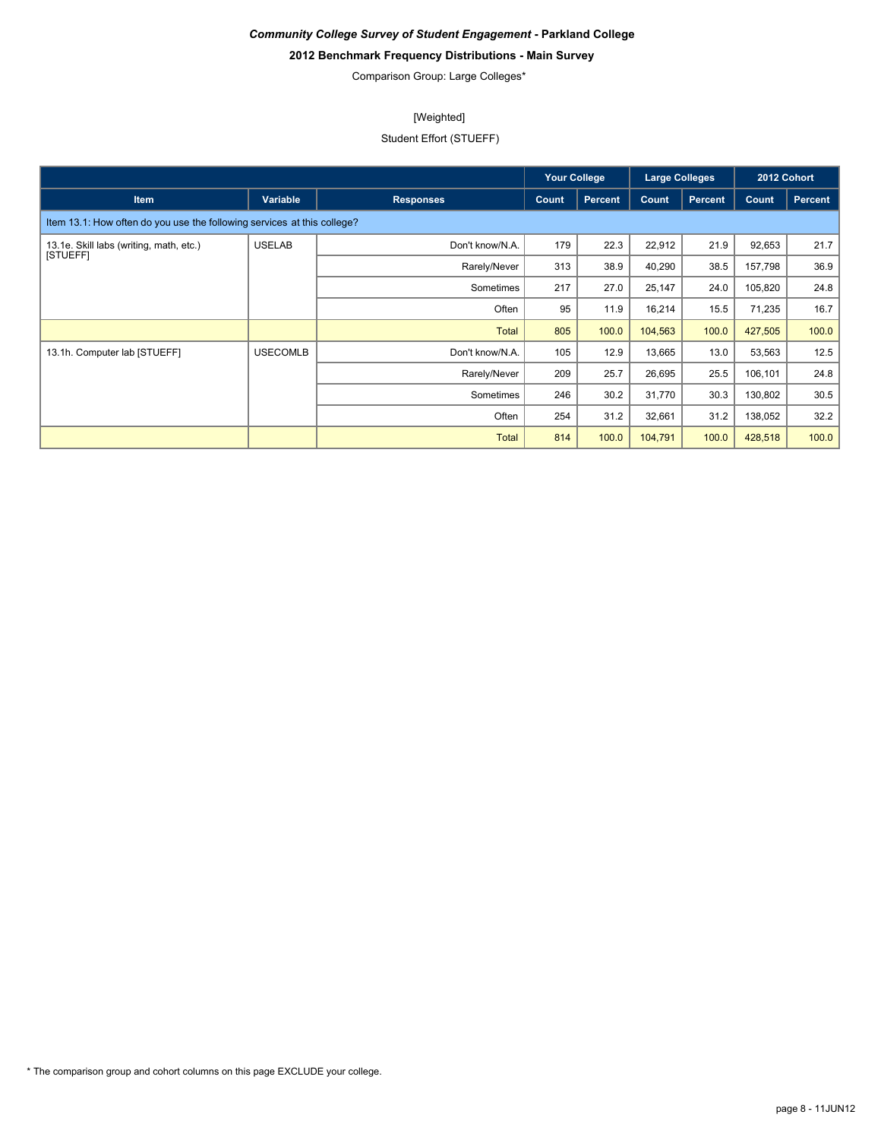# **2012 Benchmark Frequency Distributions - Main Survey**

Comparison Group: Large Colleges\*

# [Weighted]

# Student Effort (STUEFF)

|                                                                         |                 |                  | <b>Your College</b> |                |         | <b>Large Colleges</b> |         | 2012 Cohort    |
|-------------------------------------------------------------------------|-----------------|------------------|---------------------|----------------|---------|-----------------------|---------|----------------|
| <b>Item</b>                                                             | Variable        | <b>Responses</b> | Count               | <b>Percent</b> | Count   | <b>Percent</b>        | Count   | <b>Percent</b> |
| Item 13.1: How often do you use the following services at this college? |                 |                  |                     |                |         |                       |         |                |
| 13.1e. Skill labs (writing, math, etc.)                                 | <b>USELAB</b>   | Don't know/N.A.  | 179                 | 22.3           | 22,912  | 21.9                  | 92,653  | 21.7           |
| [STUEFF]                                                                |                 | Rarely/Never     | 313                 | 38.9           | 40,290  | 38.5                  | 157,798 | 36.9           |
|                                                                         |                 | Sometimes        | 217                 | 27.0           | 25,147  | 24.0                  | 105,820 | 24.8           |
|                                                                         |                 | Often            | 95                  | 11.9           | 16,214  | 15.5                  | 71,235  | 16.7           |
|                                                                         |                 | <b>Total</b>     | 805                 | 100.0          | 104,563 | 100.0                 | 427,505 | 100.0          |
| 13.1h. Computer lab [STUEFF]                                            | <b>USECOMLB</b> | Don't know/N.A.  | 105                 | 12.9           | 13,665  | 13.0                  | 53,563  | 12.5           |
|                                                                         |                 | Rarely/Never     | 209                 | 25.7           | 26,695  | 25.5                  | 106,101 | 24.8           |
|                                                                         |                 | Sometimes        | 246                 | 30.2           | 31,770  | 30.3                  | 130,802 | 30.5           |
|                                                                         |                 | Often            | 254                 | 31.2           | 32,661  | 31.2                  | 138,052 | 32.2           |
|                                                                         |                 | <b>Total</b>     | 814                 | 100.0          | 104,791 | 100.0                 | 428,518 | 100.0          |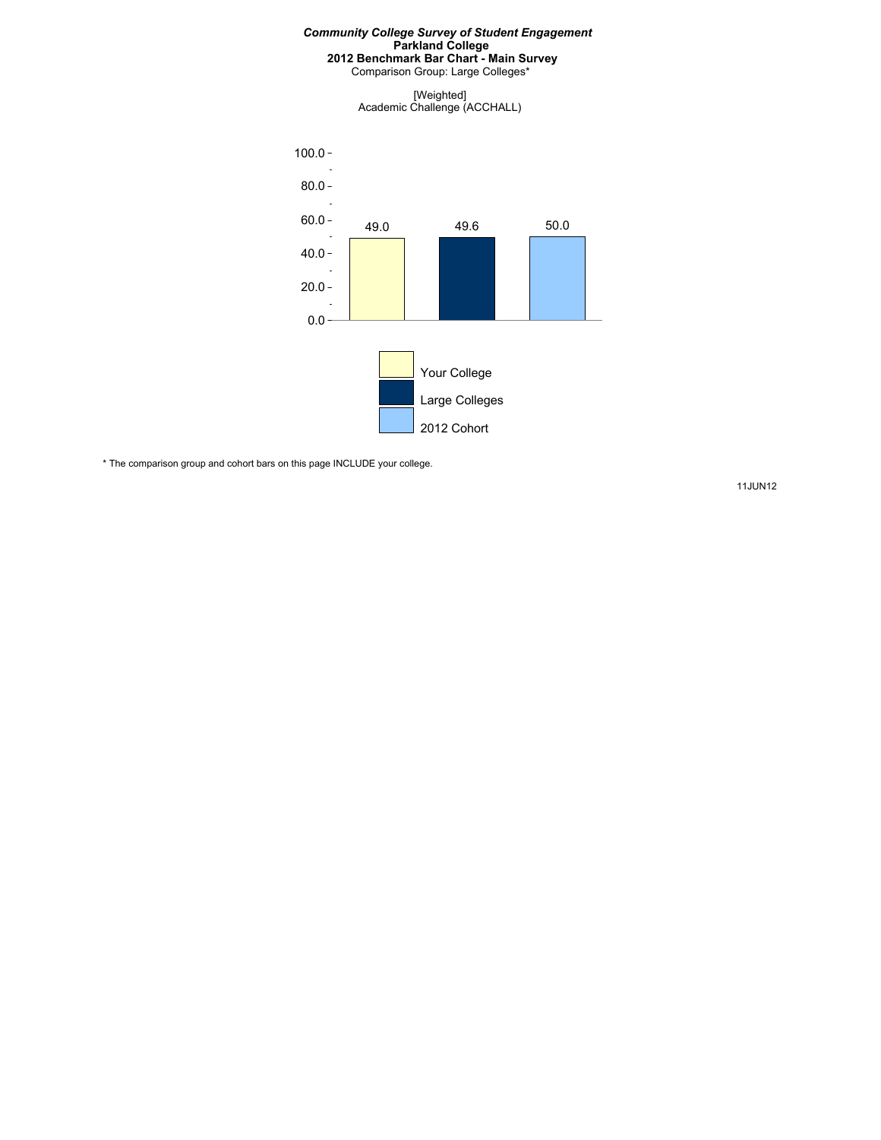Comparison Group: Large Colleges\*

[Weighted] Academic Challenge (ACCHALL)



\* The comparison group and cohort bars on this page INCLUDE your college.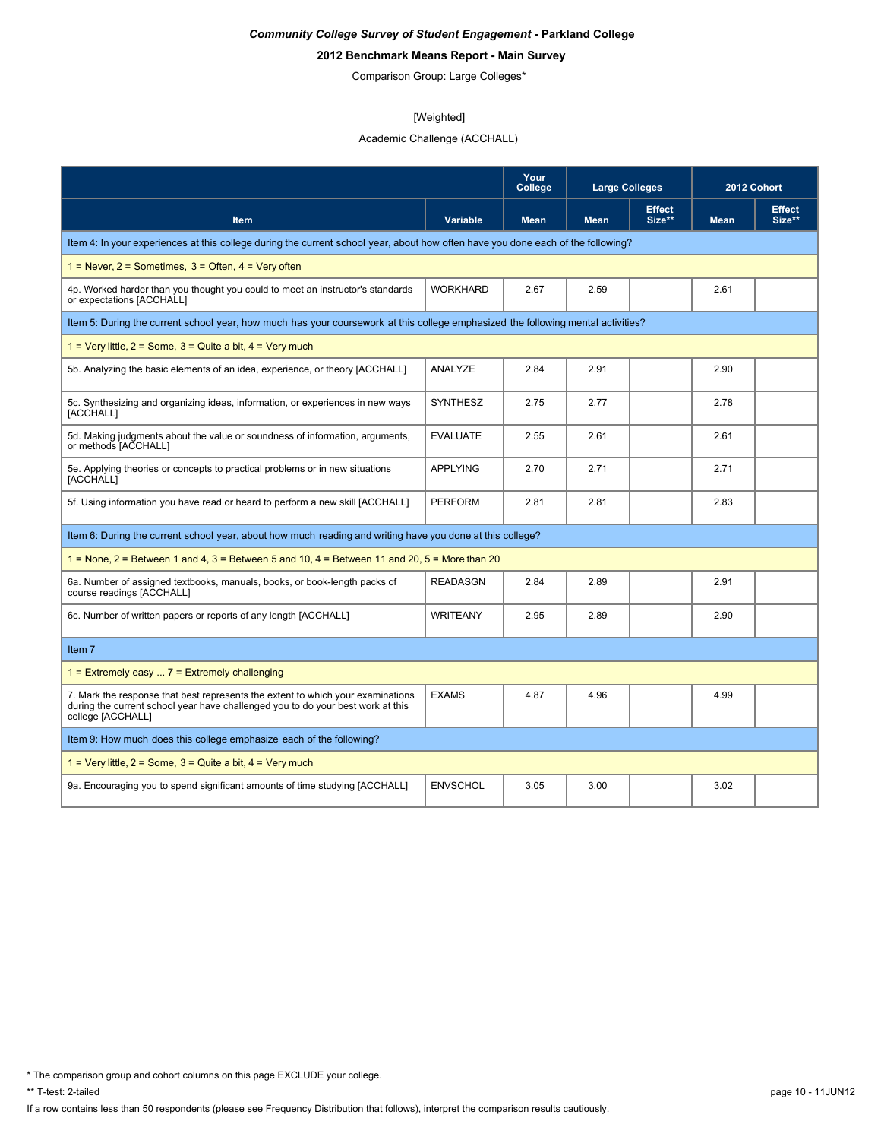# **2012 Benchmark Means Report - Main Survey**

Comparison Group: Large Colleges\*

#### [Weighted]

# Academic Challenge (ACCHALL)

|                                                                                                                                                                                         |                 | Your<br>College | <b>Large Colleges</b> |                         | 2012 Cohort |                         |
|-----------------------------------------------------------------------------------------------------------------------------------------------------------------------------------------|-----------------|-----------------|-----------------------|-------------------------|-------------|-------------------------|
| Item                                                                                                                                                                                    | <b>Variable</b> | <b>Mean</b>     | <b>Mean</b>           | <b>Effect</b><br>Size** | <b>Mean</b> | <b>Effect</b><br>Size** |
| Item 4: In your experiences at this college during the current school year, about how often have you done each of the following?                                                        |                 |                 |                       |                         |             |                         |
| $1 =$ Never, $2 =$ Sometimes, $3 =$ Often, $4 =$ Very often                                                                                                                             |                 |                 |                       |                         |             |                         |
| 4p. Worked harder than you thought you could to meet an instructor's standards<br>or expectations [ACCHALL]                                                                             | <b>WORKHARD</b> | 2.67            | 2.59                  |                         | 2.61        |                         |
| Item 5: During the current school year, how much has your coursework at this college emphasized the following mental activities?                                                        |                 |                 |                       |                         |             |                         |
| 1 = Very little, $2 =$ Some, $3 =$ Quite a bit, $4 =$ Very much                                                                                                                         |                 |                 |                       |                         |             |                         |
| 5b. Analyzing the basic elements of an idea, experience, or theory [ACCHALL]                                                                                                            | ANALYZE         | 2.84            | 2.91                  |                         | 2.90        |                         |
| 5c. Synthesizing and organizing ideas, information, or experiences in new ways<br>[ACCHALL]                                                                                             | <b>SYNTHESZ</b> | 2.75            | 2.77                  |                         | 2.78        |                         |
| 5d. Making judgments about the value or soundness of information, arguments,<br>or methods [ACCHALL]                                                                                    | <b>EVALUATE</b> | 2.55            | 2.61                  |                         | 2.61        |                         |
| 5e. Applying theories or concepts to practical problems or in new situations<br>[ACCHALL]                                                                                               | <b>APPLYING</b> | 2.70            | 2.71                  |                         | 2.71        |                         |
| 5f. Using information you have read or heard to perform a new skill [ACCHALL]                                                                                                           | <b>PERFORM</b>  | 2.81            | 2.81                  |                         | 2.83        |                         |
| Item 6: During the current school year, about how much reading and writing have you done at this college?                                                                               |                 |                 |                       |                         |             |                         |
| $1 =$ None, $2 =$ Between 1 and 4, $3 =$ Between 5 and 10, $4 =$ Between 11 and 20, $5 =$ More than 20                                                                                  |                 |                 |                       |                         |             |                         |
| 6a. Number of assigned textbooks, manuals, books, or book-length packs of<br>course readings [ACCHALL]                                                                                  | <b>READASGN</b> | 2.84            | 2.89                  |                         | 2.91        |                         |
| 6c. Number of written papers or reports of any length [ACCHALL]                                                                                                                         | <b>WRITEANY</b> | 2.95            | 2.89                  |                         | 2.90        |                         |
| Item 7                                                                                                                                                                                  |                 |                 |                       |                         |             |                         |
| 1 = Extremely easy $\ldots$ 7 = Extremely challenging                                                                                                                                   |                 |                 |                       |                         |             |                         |
| 7. Mark the response that best represents the extent to which your examinations<br>during the current school year have challenged you to do your best work at this<br>college [ACCHALL] | <b>EXAMS</b>    | 4.87            | 4.96                  |                         | 4.99        |                         |
| Item 9: How much does this college emphasize each of the following?                                                                                                                     |                 |                 |                       |                         |             |                         |
| 1 = Very little, $2 =$ Some, $3 =$ Quite a bit, $4 =$ Very much                                                                                                                         |                 |                 |                       |                         |             |                         |
| 9a. Encouraging you to spend significant amounts of time studying [ACCHALL]                                                                                                             | <b>ENVSCHOL</b> | 3.05            | 3.00                  |                         | 3.02        |                         |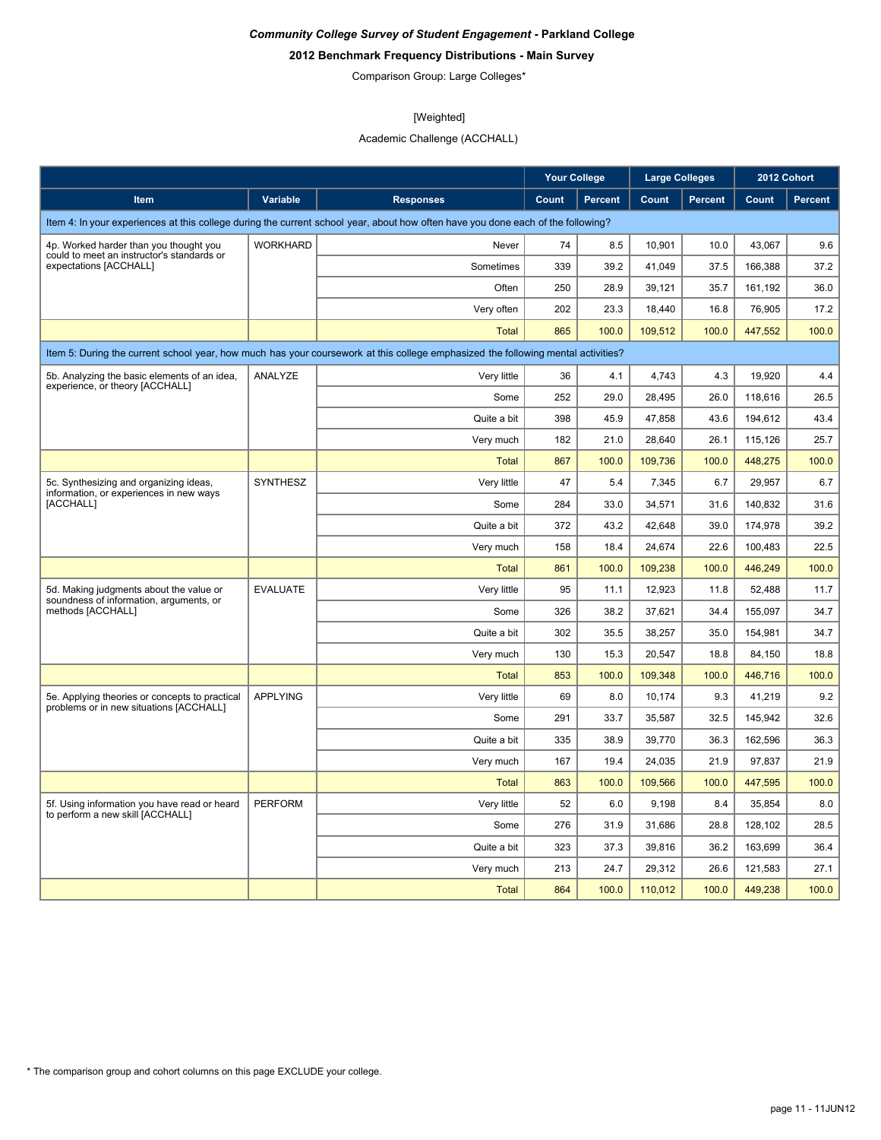# **2012 Benchmark Frequency Distributions - Main Survey**

Comparison Group: Large Colleges\*

# [Weighted]

# Academic Challenge (ACCHALL)

|                                                                                           |                 |                                                                                                                                  | <b>Your College</b> |                | <b>Large Colleges</b> |                |         | 2012 Cohort    |
|-------------------------------------------------------------------------------------------|-----------------|----------------------------------------------------------------------------------------------------------------------------------|---------------------|----------------|-----------------------|----------------|---------|----------------|
| <b>Item</b>                                                                               | Variable        | <b>Responses</b>                                                                                                                 | Count               | <b>Percent</b> | Count                 | <b>Percent</b> | Count   | <b>Percent</b> |
|                                                                                           |                 | Item 4: In your experiences at this college during the current school year, about how often have you done each of the following? |                     |                |                       |                |         |                |
| 4p. Worked harder than you thought you                                                    | <b>WORKHARD</b> | Never                                                                                                                            | 74                  | 8.5            | 10,901                | 10.0           | 43,067  | 9.6            |
| could to meet an instructor's standards or<br>expectations [ACCHALL]                      |                 | Sometimes                                                                                                                        | 339                 | 39.2           | 41,049                | 37.5           | 166,388 | 37.2           |
|                                                                                           |                 | Often                                                                                                                            | 250                 | 28.9           | 39,121                | 35.7           | 161,192 | 36.0           |
|                                                                                           |                 | Very often                                                                                                                       | 202                 | 23.3           | 18,440                | 16.8           | 76,905  | 17.2           |
|                                                                                           |                 | <b>Total</b>                                                                                                                     | 865                 | 100.0          | 109.512               | 100.0          | 447,552 | 100.0          |
|                                                                                           |                 | Item 5: During the current school year, how much has your coursework at this college emphasized the following mental activities? |                     |                |                       |                |         |                |
| 5b. Analyzing the basic elements of an idea,                                              | ANALYZE         | Very little                                                                                                                      | 36                  | 4.1            | 4,743                 | 4.3            | 19,920  | 4.4            |
| experience, or theory [ACCHALL]                                                           |                 | Some                                                                                                                             | 252                 | 29.0           | 28,495                | 26.0           | 118,616 | 26.5           |
|                                                                                           |                 | Quite a bit                                                                                                                      | 398                 | 45.9           | 47,858                | 43.6           | 194,612 | 43.4           |
|                                                                                           |                 | Very much                                                                                                                        | 182                 | 21.0           | 28,640                | 26.1           | 115,126 | 25.7           |
|                                                                                           |                 | <b>Total</b>                                                                                                                     | 867                 | 100.0          | 109,736               | 100.0          | 448,275 | 100.0          |
| 5c. Synthesizing and organizing ideas,                                                    | <b>SYNTHESZ</b> | Very little                                                                                                                      | 47                  | 5.4            | 7,345                 | 6.7            | 29,957  | 6.7            |
| information, or experiences in new ways<br>[ACCHALL]                                      |                 | Some                                                                                                                             | 284                 | 33.0           | 34,571                | 31.6           | 140,832 | 31.6           |
|                                                                                           |                 | Quite a bit                                                                                                                      | 372                 | 43.2           | 42,648                | 39.0           | 174,978 | 39.2           |
|                                                                                           |                 | Very much                                                                                                                        | 158                 | 18.4           | 24,674                | 22.6           | 100,483 | 22.5           |
|                                                                                           |                 | <b>Total</b>                                                                                                                     | 861                 | 100.0          | 109.238               | 100.0          | 446,249 | 100.0          |
| 5d. Making judgments about the value or                                                   | <b>EVALUATE</b> | Very little                                                                                                                      | 95                  | 11.1           | 12,923                | 11.8           | 52,488  | 11.7           |
| soundness of information, arguments, or<br>methods [ACCHALL]                              |                 | Some                                                                                                                             | 326                 | 38.2           | 37,621                | 34.4           | 155,097 | 34.7           |
|                                                                                           |                 | Quite a bit                                                                                                                      | 302                 | 35.5           | 38,257                | 35.0           | 154.981 | 34.7           |
|                                                                                           |                 | Very much                                                                                                                        | 130                 | 15.3           | 20,547                | 18.8           | 84,150  | 18.8           |
|                                                                                           |                 | <b>Total</b>                                                                                                                     | 853                 | 100.0          | 109,348               | 100.0          | 446,716 | 100.0          |
| 5e. Applying theories or concepts to practical<br>problems or in new situations [ACCHALL] | <b>APPLYING</b> | Very little                                                                                                                      | 69                  | 8.0            | 10,174                | 9.3            | 41,219  | 9.2            |
|                                                                                           |                 | Some                                                                                                                             | 291                 | 33.7           | 35.587                | 32.5           | 145,942 | 32.6           |
|                                                                                           |                 | Quite a bit                                                                                                                      | 335                 | 38.9           | 39,770                | 36.3           | 162,596 | 36.3           |
|                                                                                           |                 | Very much                                                                                                                        | 167                 | 19.4           | 24,035                | 21.9           | 97,837  | 21.9           |
|                                                                                           |                 | <b>Total</b>                                                                                                                     | 863                 | 100.0          | 109,566               | 100.0          | 447,595 | 100.0          |
| 5f. Using information you have read or heard<br>to perform a new skill [ACCHALL]          | <b>PERFORM</b>  | Very little                                                                                                                      | 52                  | 6.0            | 9,198                 | 8.4            | 35,854  | 8.0            |
|                                                                                           |                 | Some                                                                                                                             | 276                 | 31.9           | 31,686                | 28.8           | 128,102 | 28.5           |
|                                                                                           |                 | Quite a bit                                                                                                                      | 323                 | 37.3           | 39,816                | 36.2           | 163,699 | 36.4           |
|                                                                                           |                 | Very much                                                                                                                        | 213                 | 24.7           | 29,312                | 26.6           | 121,583 | 27.1           |
|                                                                                           |                 | <b>Total</b>                                                                                                                     | 864                 | 100.0          | 110,012               | 100.0          | 449,238 | 100.0          |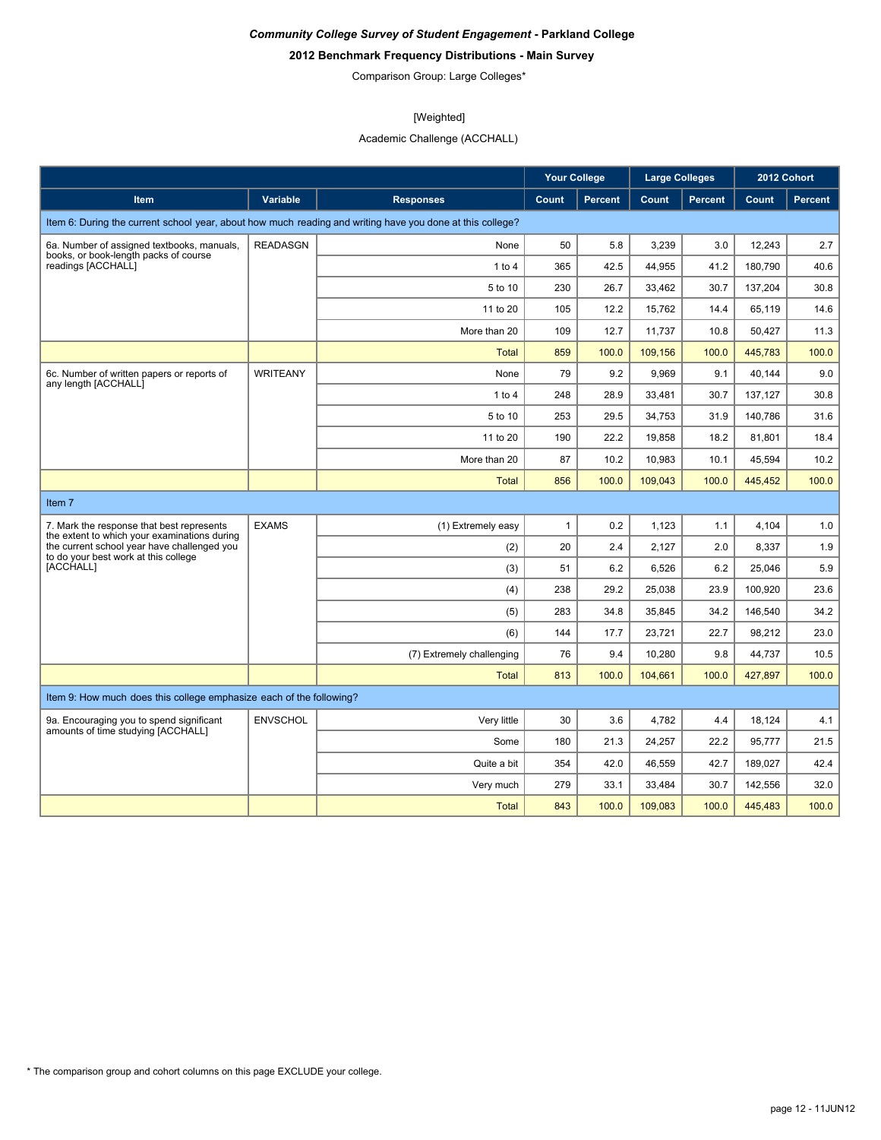# **2012 Benchmark Frequency Distributions - Main Survey**

Comparison Group: Large Colleges\*

# [Weighted]

Academic Challenge (ACCHALL)

|                                                                                           |                 |                                                                                                           | <b>Your College</b> |                | <b>Large Colleges</b> |                |         | 2012 Cohort    |
|-------------------------------------------------------------------------------------------|-----------------|-----------------------------------------------------------------------------------------------------------|---------------------|----------------|-----------------------|----------------|---------|----------------|
| Item                                                                                      | <b>Variable</b> | <b>Responses</b>                                                                                          | Count               | <b>Percent</b> | Count                 | <b>Percent</b> | Count   | <b>Percent</b> |
|                                                                                           |                 | Item 6: During the current school year, about how much reading and writing have you done at this college? |                     |                |                       |                |         |                |
| 6a. Number of assigned textbooks, manuals,                                                | <b>READASGN</b> | None                                                                                                      | 50                  | 5.8            | 3,239                 | 3.0            | 12,243  | 2.7            |
| books, or book-length packs of course<br>readings [ACCHALL]                               |                 | 1 to 4                                                                                                    | 365                 | 42.5           | 44,955                | 41.2           | 180,790 | 40.6           |
|                                                                                           |                 | 5 to 10                                                                                                   | 230                 | 26.7           | 33,462                | 30.7           | 137,204 | 30.8           |
|                                                                                           |                 | 11 to 20                                                                                                  | 105                 | 12.2           | 15.762                | 14.4           | 65.119  | 14.6           |
|                                                                                           |                 | More than 20                                                                                              | 109                 | 12.7           | 11,737                | 10.8           | 50,427  | 11.3           |
|                                                                                           |                 | <b>Total</b>                                                                                              | 859                 | 100.0          | 109,156               | 100.0          | 445,783 | 100.0          |
| 6c. Number of written papers or reports of                                                | <b>WRITEANY</b> | None                                                                                                      | 79                  | 9.2            | 9,969                 | 9.1            | 40.144  | 9.0            |
| any length [ACCHALL]                                                                      |                 | 1 to 4                                                                                                    | 248                 | 28.9           | 33,481                | 30.7           | 137,127 | 30.8           |
|                                                                                           |                 | 5 to 10                                                                                                   | 253                 | 29.5           | 34,753                | 31.9           | 140,786 | 31.6           |
|                                                                                           |                 | 11 to 20                                                                                                  | 190                 | 22.2           | 19,858                | 18.2           | 81,801  | 18.4           |
|                                                                                           |                 | More than 20                                                                                              | 87                  | 10.2           | 10,983                | 10.1           | 45,594  | 10.2           |
|                                                                                           |                 | <b>Total</b>                                                                                              | 856                 | 100.0          | 109.043               | 100.0          | 445.452 | 100.0          |
| Item <sub>7</sub>                                                                         |                 |                                                                                                           |                     |                |                       |                |         |                |
| 7. Mark the response that best represents<br>the extent to which your examinations during | <b>EXAMS</b>    | (1) Extremely easy                                                                                        | $\mathbf{1}$        | 0.2            | 1,123                 | 1.1            | 4,104   | 1.0            |
| the current school year have challenged you<br>to do your best work at this college       |                 | (2)                                                                                                       | 20                  | 2.4            | 2,127                 | 2.0            | 8,337   | 1.9            |
| [ACCHALL]                                                                                 |                 | (3)                                                                                                       | 51                  | 6.2            | 6,526                 | 6.2            | 25,046  | 5.9            |
|                                                                                           |                 | (4)                                                                                                       | 238                 | 29.2           | 25,038                | 23.9           | 100,920 | 23.6           |
|                                                                                           |                 | (5)                                                                                                       | 283                 | 34.8           | 35,845                | 34.2           | 146,540 | 34.2           |
|                                                                                           |                 | (6)                                                                                                       | 144                 | 17.7           | 23,721                | 22.7           | 98,212  | 23.0           |
|                                                                                           |                 | (7) Extremely challenging                                                                                 | 76                  | 9.4            | 10,280                | 9.8            | 44,737  | 10.5           |
|                                                                                           |                 | <b>Total</b>                                                                                              | 813                 | 100.0          | 104,661               | 100.0          | 427,897 | 100.0          |
| Item 9: How much does this college emphasize each of the following?                       |                 |                                                                                                           |                     |                |                       |                |         |                |
| 9a. Encouraging you to spend significant<br>amounts of time studying [ACCHALL]            | <b>ENVSCHOL</b> | Very little                                                                                               | 30                  | 3.6            | 4,782                 | 4.4            | 18.124  | 4.1            |
|                                                                                           |                 | Some                                                                                                      | 180                 | 21.3           | 24,257                | 22.2           | 95,777  | 21.5           |
|                                                                                           |                 | Quite a bit                                                                                               | 354                 | 42.0           | 46,559                | 42.7           | 189,027 | 42.4           |
|                                                                                           |                 | Very much                                                                                                 | 279                 | 33.1           | 33,484                | 30.7           | 142,556 | 32.0           |
|                                                                                           |                 | <b>Total</b>                                                                                              | 843                 | 100.0          | 109,083               | 100.0          | 445,483 | 100.0          |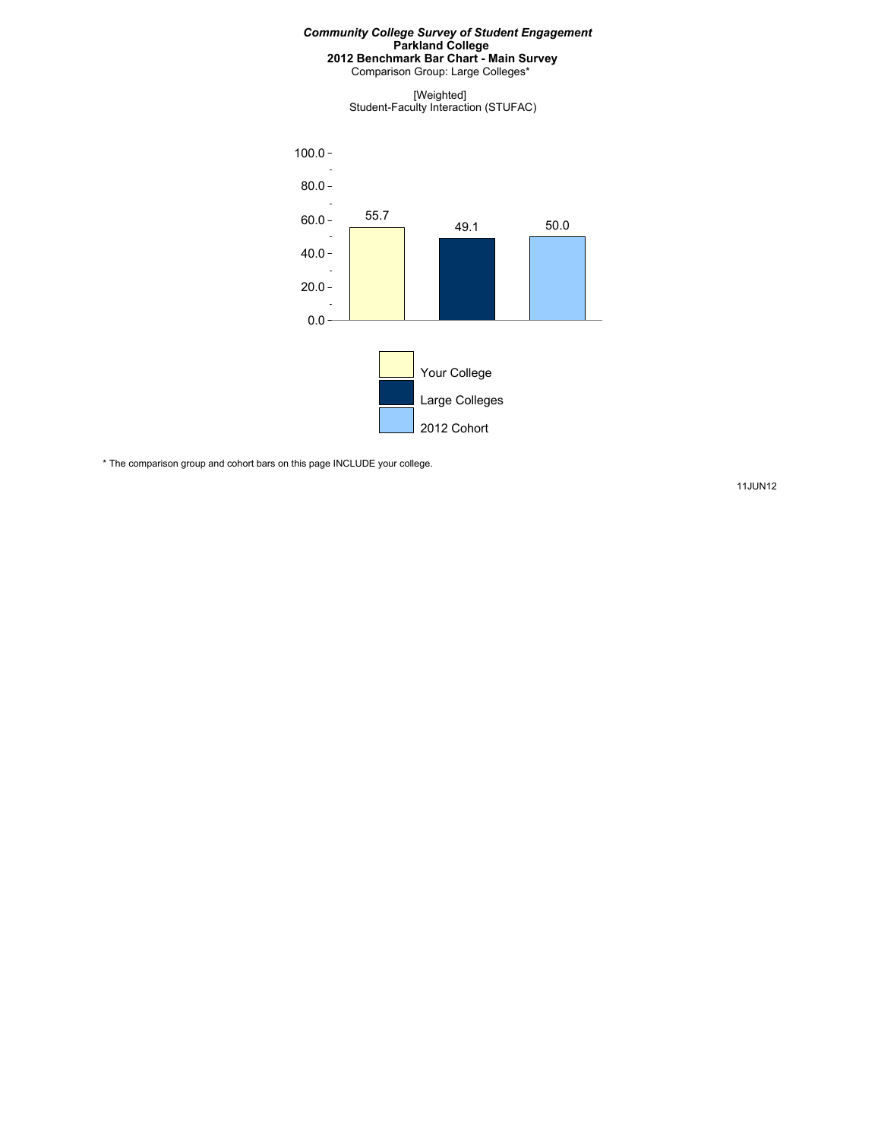Comparison Group: Large Colleges\*

[Weighted] Student-Faculty Interaction (STUFAC)



\* The comparison group and cohort bars on this page INCLUDE your college.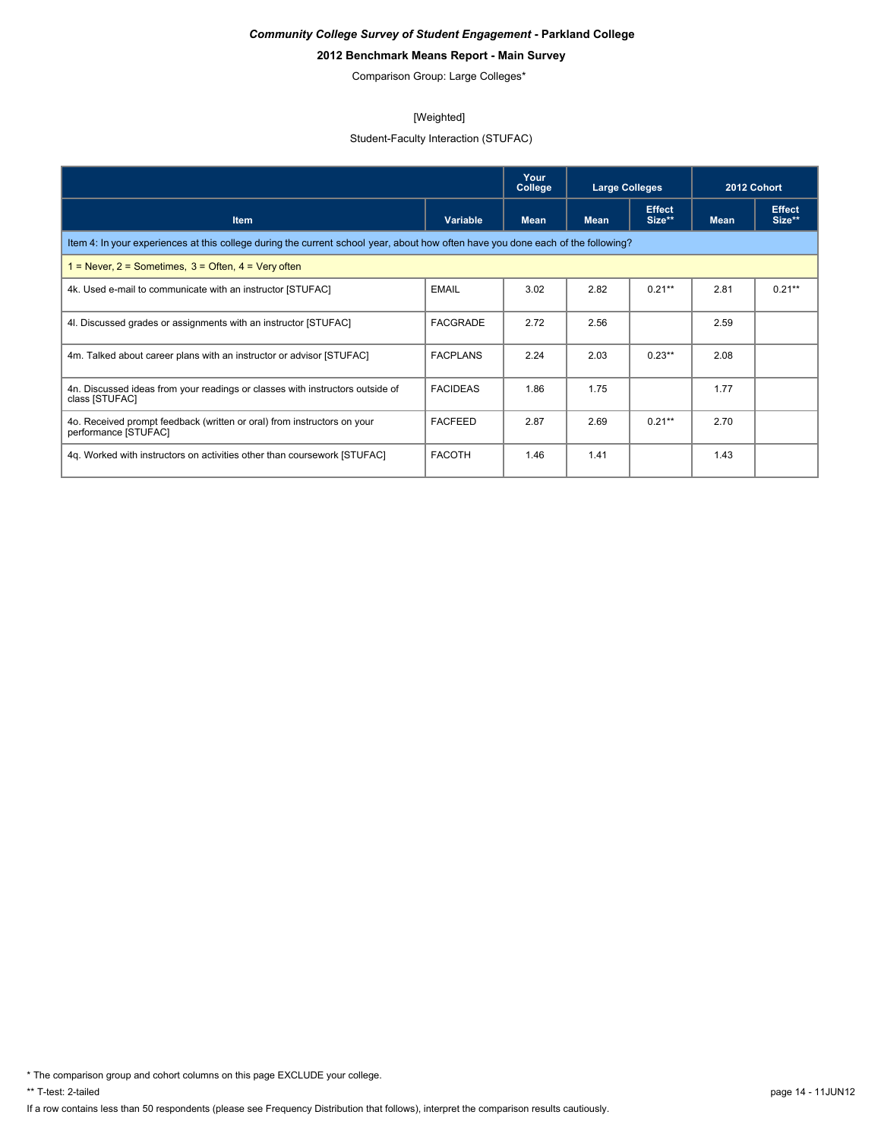# **2012 Benchmark Means Report - Main Survey**

Comparison Group: Large Colleges\*

#### [Weighted]

# Student-Faculty Interaction (STUFAC)

|                                                                                                                                  |                 | Your<br>College | <b>Large Colleges</b> |                         | 2012 Cohort |                         |  |  |  |
|----------------------------------------------------------------------------------------------------------------------------------|-----------------|-----------------|-----------------------|-------------------------|-------------|-------------------------|--|--|--|
| <b>Item</b>                                                                                                                      | Variable        | <b>Mean</b>     | <b>Mean</b>           | <b>Effect</b><br>Size** | <b>Mean</b> | <b>Effect</b><br>Size** |  |  |  |
| Item 4: In your experiences at this college during the current school year, about how often have you done each of the following? |                 |                 |                       |                         |             |                         |  |  |  |
| $1 =$ Never, $2 =$ Sometimes, $3 =$ Often, $4 =$ Very often                                                                      |                 |                 |                       |                         |             |                         |  |  |  |
| 4k. Used e-mail to communicate with an instructor [STUFAC]                                                                       | <b>EMAIL</b>    | 3.02            | 2.82                  | $0.21**$                | 2.81        | $0.21**$                |  |  |  |
| 4. Discussed grades or assignments with an instructor [STUFAC]                                                                   | <b>FACGRADE</b> | 2.72            | 2.56                  |                         | 2.59        |                         |  |  |  |
| 4m. Talked about career plans with an instructor or advisor [STUFAC]                                                             | <b>FACPLANS</b> | 2.24            | 2.03                  | $0.23**$                | 2.08        |                         |  |  |  |
| 4n. Discussed ideas from your readings or classes with instructors outside of<br>class [STUFAC]                                  | <b>FACIDEAS</b> | 1.86            | 1.75                  |                         | 1.77        |                         |  |  |  |
| 4o. Received prompt feedback (written or oral) from instructors on your<br>performance [STUFAC]                                  | <b>FACFEED</b>  | 2.87            | 2.69                  | $0.21**$                | 2.70        |                         |  |  |  |
| 4q. Worked with instructors on activities other than coursework [STUFAC]                                                         | <b>FACOTH</b>   | 1.46            | 1.41                  |                         | 1.43        |                         |  |  |  |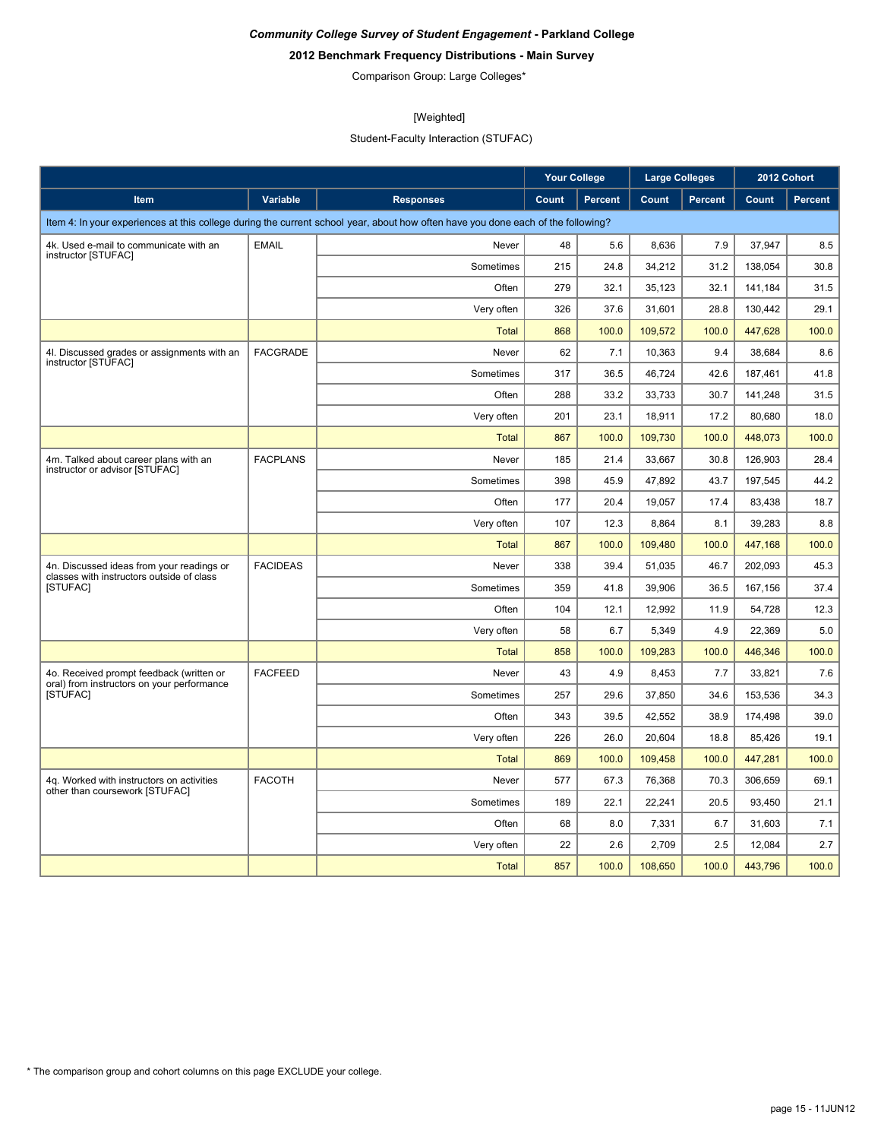# **2012 Benchmark Frequency Distributions - Main Survey**

Comparison Group: Large Colleges\*

# [Weighted]

Student-Faculty Interaction (STUFAC)

|                                                                                        |                 |                                                                                                                                  | <b>Your College</b> |                | <b>Large Colleges</b> |                | 2012 Cohort |         |
|----------------------------------------------------------------------------------------|-----------------|----------------------------------------------------------------------------------------------------------------------------------|---------------------|----------------|-----------------------|----------------|-------------|---------|
| Item                                                                                   | Variable        | <b>Responses</b>                                                                                                                 | Count               | <b>Percent</b> | Count                 | <b>Percent</b> | Count       | Percent |
|                                                                                        |                 | Item 4: In your experiences at this college during the current school year, about how often have you done each of the following? |                     |                |                       |                |             |         |
| 4k. Used e-mail to communicate with an<br>instructor [STUFAC]                          | <b>EMAIL</b>    | Never                                                                                                                            | 48                  | 5.6            | 8,636                 | 7.9            | 37,947      | 8.5     |
|                                                                                        |                 | Sometimes                                                                                                                        | 215                 | 24.8           | 34,212                | 31.2           | 138,054     | 30.8    |
|                                                                                        |                 | Often                                                                                                                            | 279                 | 32.1           | 35,123                | 32.1           | 141,184     | 31.5    |
|                                                                                        |                 | Very often                                                                                                                       | 326                 | 37.6           | 31,601                | 28.8           | 130,442     | 29.1    |
|                                                                                        |                 | <b>Total</b>                                                                                                                     | 868                 | 100.0          | 109,572               | 100.0          | 447,628     | 100.0   |
| 4I. Discussed grades or assignments with an<br>instructor [STUFAC]                     | <b>FACGRADE</b> | Never                                                                                                                            | 62                  | 7.1            | 10,363                | 9.4            | 38,684      | 8.6     |
|                                                                                        |                 | Sometimes                                                                                                                        | 317                 | 36.5           | 46,724                | 42.6           | 187,461     | 41.8    |
|                                                                                        |                 | Often                                                                                                                            | 288                 | 33.2           | 33,733                | 30.7           | 141,248     | 31.5    |
|                                                                                        |                 | Very often                                                                                                                       | 201                 | 23.1           | 18,911                | 17.2           | 80,680      | 18.0    |
|                                                                                        |                 | <b>Total</b>                                                                                                                     | 867                 | 100.0          | 109,730               | 100.0          | 448,073     | 100.0   |
| 4m. Talked about career plans with an<br>instructor or advisor [STUFAC]                | <b>FACPLANS</b> | Never                                                                                                                            | 185                 | 21.4           | 33,667                | 30.8           | 126,903     | 28.4    |
|                                                                                        |                 | Sometimes                                                                                                                        | 398                 | 45.9           | 47,892                | 43.7           | 197,545     | 44.2    |
|                                                                                        |                 | Often                                                                                                                            | 177                 | 20.4           | 19.057                | 17.4           | 83.438      | 18.7    |
|                                                                                        |                 | Very often                                                                                                                       | 107                 | 12.3           | 8,864                 | 8.1            | 39,283      | 8.8     |
|                                                                                        |                 | Total                                                                                                                            | 867                 | 100.0          | 109,480               | 100.0          | 447,168     | 100.0   |
| 4n. Discussed ideas from your readings or<br>classes with instructors outside of class | <b>FACIDEAS</b> | Never                                                                                                                            | 338                 | 39.4           | 51,035                | 46.7           | 202,093     | 45.3    |
| <b>ISTUFACI</b>                                                                        |                 | Sometimes                                                                                                                        | 359                 | 41.8           | 39,906                | 36.5           | 167,156     | 37.4    |
|                                                                                        |                 | Often                                                                                                                            | 104                 | 12.1           | 12,992                | 11.9           | 54,728      | 12.3    |
|                                                                                        |                 | Very often                                                                                                                       | 58                  | 6.7            | 5,349                 | 4.9            | 22,369      | 5.0     |
|                                                                                        |                 | <b>Total</b>                                                                                                                     | 858                 | 100.0          | 109,283               | 100.0          | 446,346     | 100.0   |
| 4o. Received prompt feedback (written or<br>oral) from instructors on your performance | <b>FACFEED</b>  | Never                                                                                                                            | 43                  | 4.9            | 8,453                 | 7.7            | 33,821      | 7.6     |
| <b>ISTUFACI</b>                                                                        |                 | Sometimes                                                                                                                        | 257                 | 29.6           | 37,850                | 34.6           | 153,536     | 34.3    |
|                                                                                        |                 | Often                                                                                                                            | 343                 | 39.5           | 42,552                | 38.9           | 174,498     | 39.0    |
|                                                                                        |                 | Very often                                                                                                                       | 226                 | 26.0           | 20,604                | 18.8           | 85,426      | 19.1    |
|                                                                                        |                 | Total                                                                                                                            | 869                 | 100.0          | 109,458               | 100.0          | 447,281     | 100.0   |
| 4q. Worked with instructors on activities<br>other than coursework [STUFAC]            | <b>FACOTH</b>   | Never                                                                                                                            | 577                 | 67.3           | 76,368                | 70.3           | 306,659     | 69.1    |
|                                                                                        |                 | Sometimes                                                                                                                        | 189                 | 22.1           | 22,241                | 20.5           | 93,450      | 21.1    |
|                                                                                        |                 | Often                                                                                                                            | 68                  | 8.0            | 7,331                 | 6.7            | 31,603      | 7.1     |
|                                                                                        |                 | Very often                                                                                                                       | 22                  | 2.6            | 2,709                 | 2.5            | 12,084      | 2.7     |
|                                                                                        |                 | Total                                                                                                                            | 857                 | 100.0          | 108,650               | 100.0          | 443,796     | 100.0   |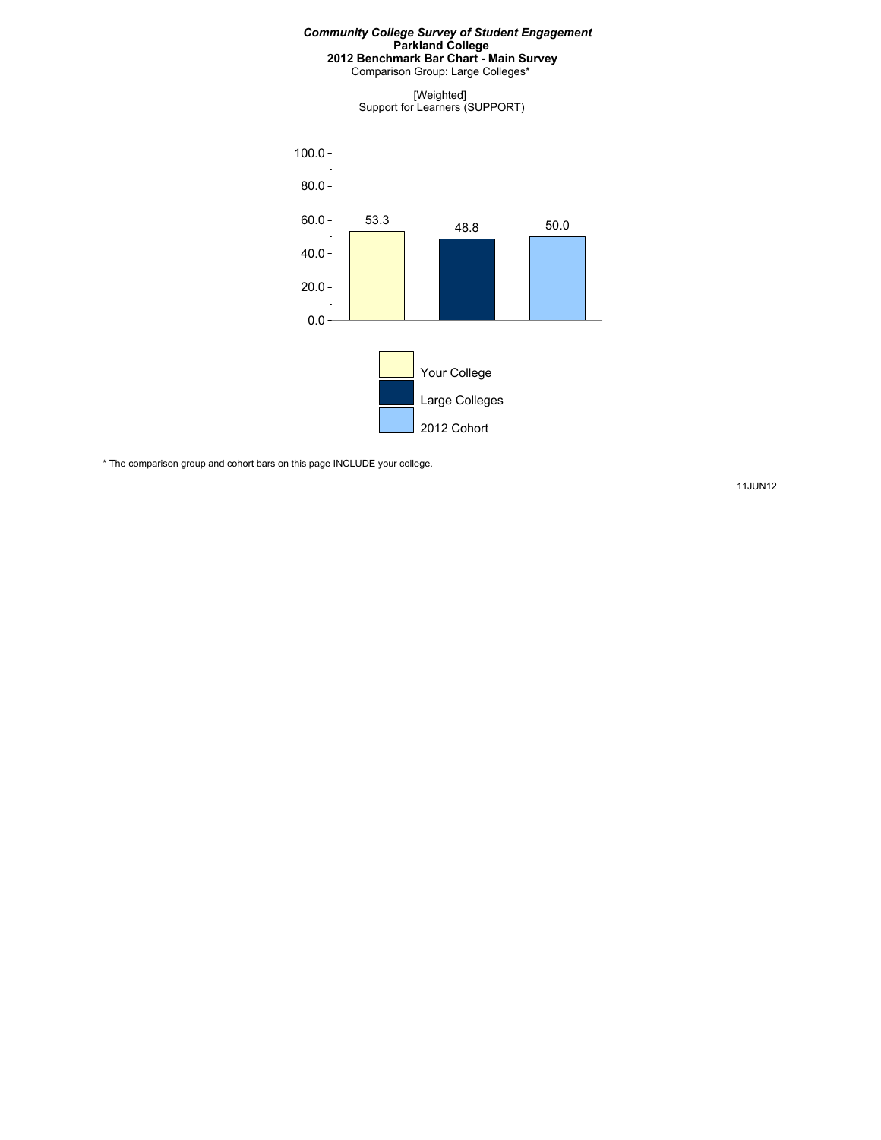Comparison Group: Large Colleges\*

[Weighted] Support for Learners (SUPPORT)



\* The comparison group and cohort bars on this page INCLUDE your college.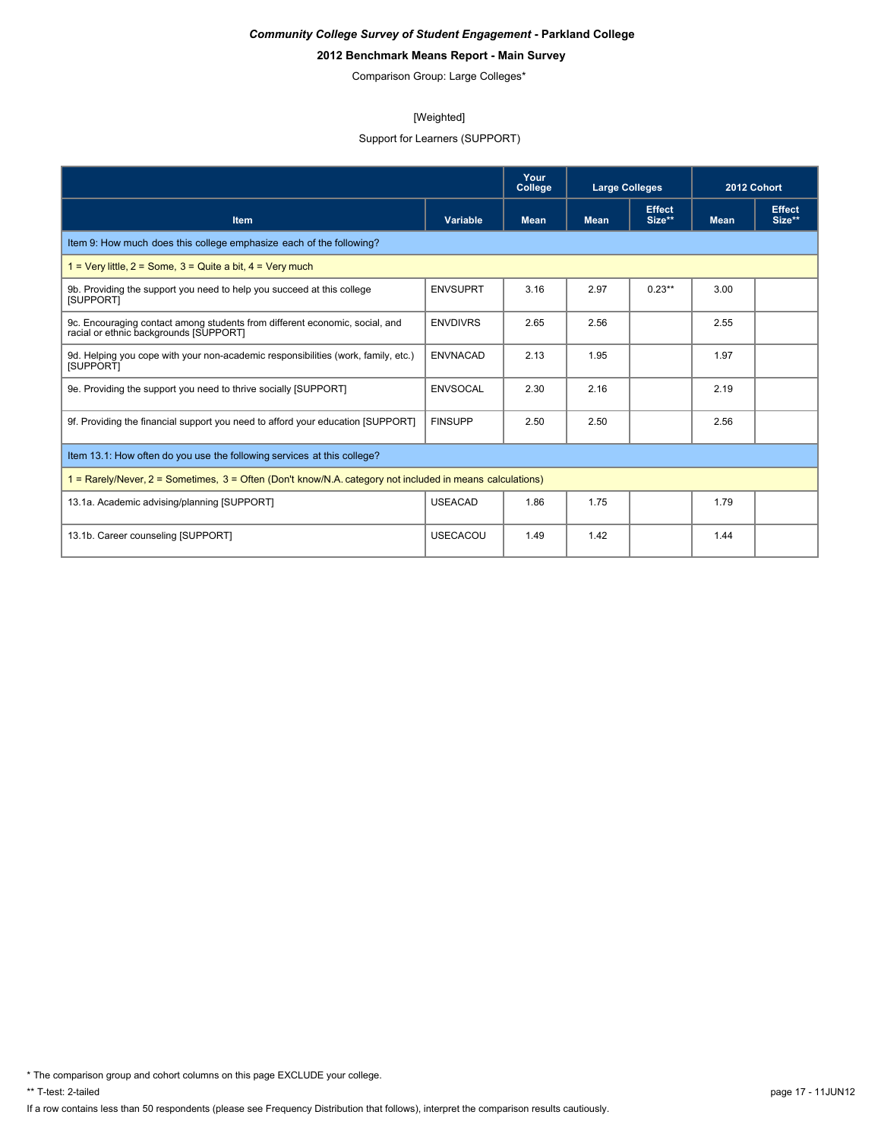# **2012 Benchmark Means Report - Main Survey**

Comparison Group: Large Colleges\*

#### [Weighted]

# Support for Learners (SUPPORT)

|                                                                                                                       |                 | Your<br>College | <b>Large Colleges</b> |                         | 2012 Cohort |                         |
|-----------------------------------------------------------------------------------------------------------------------|-----------------|-----------------|-----------------------|-------------------------|-------------|-------------------------|
| Item                                                                                                                  | Variable        | <b>Mean</b>     | <b>Mean</b>           | <b>Effect</b><br>Size** | <b>Mean</b> | <b>Effect</b><br>Size** |
| Item 9: How much does this college emphasize each of the following?                                                   |                 |                 |                       |                         |             |                         |
| $1 = \text{Very little}, 2 = \text{Some}, 3 = \text{Quite}$ a bit, $4 = \text{Very much}$                             |                 |                 |                       |                         |             |                         |
| 9b. Providing the support you need to help you succeed at this college<br>[SUPPORT]                                   | <b>ENVSUPRT</b> | 3.16            | 2.97                  | $0.23**$                | 3.00        |                         |
| 9c. Encouraging contact among students from different economic, social, and<br>racial or ethnic backgrounds [SUPPORT] | <b>ENVDIVRS</b> | 2.65            | 2.56                  |                         | 2.55        |                         |
| 9d. Helping you cope with your non-academic responsibilities (work, family, etc.)<br>[SUPPORT]                        | <b>ENVNACAD</b> | 2.13            | 1.95                  |                         | 1.97        |                         |
| 9e. Providing the support you need to thrive socially [SUPPORT]                                                       | ENVSOCAL        | 2.30            | 2.16                  |                         | 2.19        |                         |
| 9f. Providing the financial support you need to afford your education [SUPPORT]                                       | <b>FINSUPP</b>  | 2.50            | 2.50                  |                         | 2.56        |                         |
| Item 13.1: How often do you use the following services at this college?                                               |                 |                 |                       |                         |             |                         |
| 1 = Rarely/Never, 2 = Sometimes, 3 = Often (Don't know/N.A. category not included in means calculations)              |                 |                 |                       |                         |             |                         |
| 13.1a. Academic advising/planning [SUPPORT]                                                                           | <b>USEACAD</b>  | 1.86            | 1.75                  |                         | 1.79        |                         |
| 13.1b. Career counseling [SUPPORT]                                                                                    | <b>USECACOU</b> | 1.49            | 1.42                  |                         | 1.44        |                         |